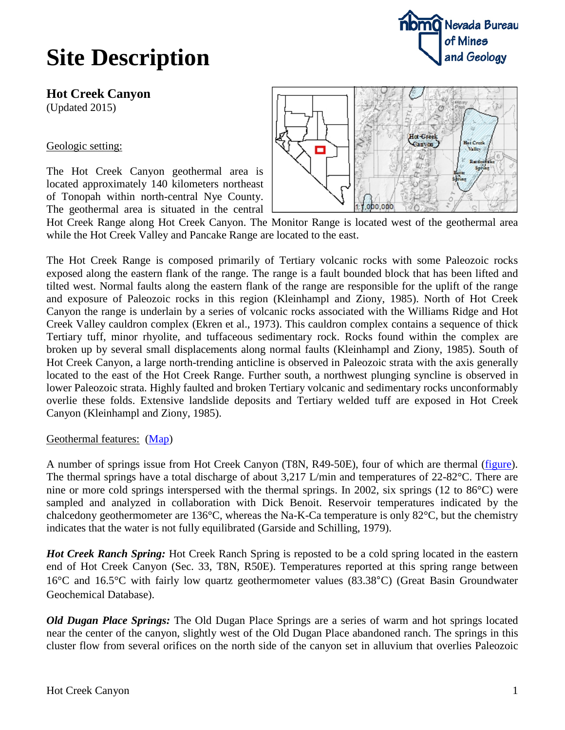### **Site Description**



**Hot Creek Canyon** (Updated 2015)

Geologic setting:

The Hot Creek Canyon geothermal area is located approximately 140 kilometers northeast of Tonopah within north-central Nye County. The geothermal area is situated in the central



Hot Creek Range along Hot Creek Canyon. The Monitor Range is located west of the geothermal area while the Hot Creek Valley and Pancake Range are located to the east.

The Hot Creek Range is composed primarily of Tertiary volcanic rocks with some Paleozoic rocks exposed along the eastern flank of the range. The range is a fault bounded block that has been lifted and tilted west. Normal faults along the eastern flank of the range are responsible for the uplift of the range and exposure of Paleozoic rocks in this region (Kleinhampl and Ziony, 1985). North of Hot Creek Canyon the range is underlain by a series of volcanic rocks associated with the Williams Ridge and Hot Creek Valley cauldron complex (Ekren et al., 1973). This cauldron complex contains a sequence of thick Tertiary tuff, minor rhyolite, and tuffaceous sedimentary rock. Rocks found within the complex are broken up by several small displacements along normal faults (Kleinhampl and Ziony, 1985). South of Hot Creek Canyon, a large north-trending anticline is observed in Paleozoic strata with the axis generally located to the east of the Hot Creek Range. Further south, a northwest plunging syncline is observed in lower Paleozoic strata. Highly faulted and broken Tertiary volcanic and sedimentary rocks unconformably overlie these folds. Extensive landslide deposits and Tertiary welded tuff are exposed in Hot Creek Canyon (Kleinhampl and Ziony, 1985).

### Geothermal features: [\(Map\)](http://data.nbmg.unr.edu/Public/Geothermal/DetailedMaps/Hot%20Creek%20Canyon.pdf)

A number of springs issue from Hot Creek Canyon (T8N, R49-50E), four of which are thermal [\(figure\)](http://data.nbmg.unr.edu/Public/Geothermal/Figures/Fig33.pdf). The thermal springs have a total discharge of about 3,217 L/min and temperatures of 22-82°C. There are nine or more cold springs interspersed with the thermal springs. In 2002, six springs (12 to 86°C) were sampled and analyzed in collaboration with Dick Benoit. Reservoir temperatures indicated by the chalcedony geothermometer are 136°C, whereas the Na-K-Ca temperature is only 82°C, but the chemistry indicates that the water is not fully equilibrated (Garside and Schilling, 1979).

*Hot Creek Ranch Spring:* Hot Creek Ranch Spring is reposted to be a cold spring located in the eastern end of Hot Creek Canyon (Sec. 33, T8N, R50E). Temperatures reported at this spring range between 16°C and 16.5°C with fairly low quartz geothermometer values (83.38°C) (Great Basin Groundwater Geochemical Database).

*Old Dugan Place Springs:* The Old Dugan Place Springs are a series of warm and hot springs located near the center of the canyon, slightly west of the Old Dugan Place abandoned ranch. The springs in this cluster flow from several orifices on the north side of the canyon set in alluvium that overlies Paleozoic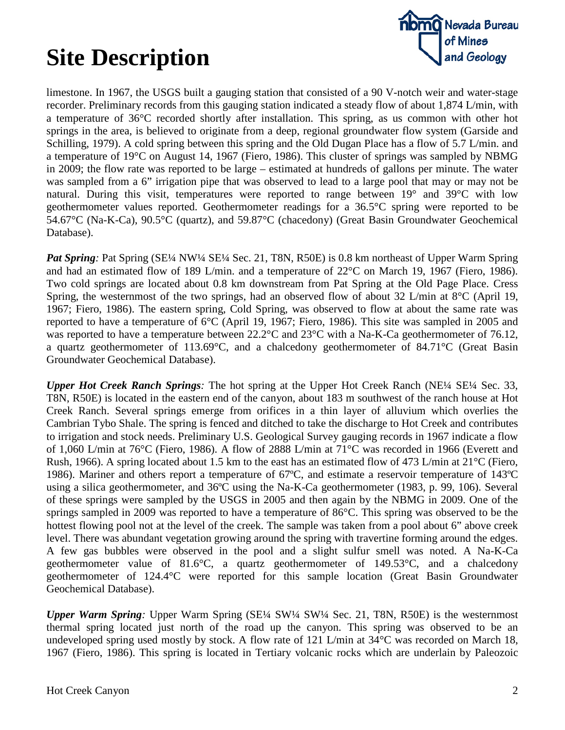# **Site Description**



limestone. In 1967, the USGS built a gauging station that consisted of a 90 V-notch weir and water-stage recorder. Preliminary records from this gauging station indicated a steady flow of about 1,874 L/min, with a temperature of 36°C recorded shortly after installation. This spring, as us common with other hot springs in the area, is believed to originate from a deep, regional groundwater flow system (Garside and Schilling, 1979). A cold spring between this spring and the Old Dugan Place has a flow of 5.7 L/min. and a temperature of 19°C on August 14, 1967 (Fiero, 1986). This cluster of springs was sampled by NBMG in 2009; the flow rate was reported to be large – estimated at hundreds of gallons per minute. The water was sampled from a 6" irrigation pipe that was observed to lead to a large pool that may or may not be natural. During this visit, temperatures were reported to range between 19° and 39°C with low geothermometer values reported. Geothermometer readings for a 36.5°C spring were reported to be 54.67°C (Na-K-Ca), 90.5°C (quartz), and 59.87°C (chacedony) (Great Basin Groundwater Geochemical Database).

*Pat Spring*: Pat Spring (SE¼ NW¼ SE¼ Sec. 21, T8N, R50E) is 0.8 km northeast of Upper Warm Spring and had an estimated flow of 189 L/min. and a temperature of 22°C on March 19, 1967 (Fiero, 1986). Two cold springs are located about 0.8 km downstream from Pat Spring at the Old Page Place. Cress Spring, the westernmost of the two springs, had an observed flow of about 32 L/min at 8°C (April 19, 1967; Fiero, 1986). The eastern spring, Cold Spring, was observed to flow at about the same rate was reported to have a temperature of 6°C (April 19, 1967; Fiero, 1986). This site was sampled in 2005 and was reported to have a temperature between 22.2°C and 23°C with a Na-K-Ca geothermometer of 76.12, a quartz geothermometer of 113.69°C, and a chalcedony geothermometer of 84.71°C (Great Basin Groundwater Geochemical Database).

*Upper Hot Creek Ranch Springs:* The hot spring at the Upper Hot Creek Ranch (NE¼ SE¼ Sec. 33, T8N, R50E) is located in the eastern end of the canyon, about 183 m southwest of the ranch house at Hot Creek Ranch. Several springs emerge from orifices in a thin layer of alluvium which overlies the Cambrian Tybo Shale. The spring is fenced and ditched to take the discharge to Hot Creek and contributes to irrigation and stock needs. Preliminary U.S. Geological Survey gauging records in 1967 indicate a flow of 1,060 L/min at 76°C (Fiero, 1986). A flow of 2888 L/min at 71°C was recorded in 1966 (Everett and Rush, 1966). A spring located about 1.5 km to the east has an estimated flow of 473 L/min at 21°C (Fiero, 1986). Mariner and others report a temperature of 67ºC, and estimate a reservoir temperature of 143ºC using a silica geothermometer, and 36ºC using the Na-K-Ca geothermometer (1983, p. 99, 106). Several of these springs were sampled by the USGS in 2005 and then again by the NBMG in 2009. One of the springs sampled in 2009 was reported to have a temperature of 86°C. This spring was observed to be the hottest flowing pool not at the level of the creek. The sample was taken from a pool about 6" above creek level. There was abundant vegetation growing around the spring with travertine forming around the edges. A few gas bubbles were observed in the pool and a slight sulfur smell was noted. A Na-K-Ca geothermometer value of 81.6°C, a quartz geothermometer of 149.53°C, and a chalcedony geothermometer of 124.4°C were reported for this sample location (Great Basin Groundwater Geochemical Database).

*Upper Warm Spring:* Upper Warm Spring (SE¼ SW¼ SW¼ Sec. 21, T8N, R50E) is the westernmost thermal spring located just north of the road up the canyon. This spring was observed to be an undeveloped spring used mostly by stock. A flow rate of 121 L/min at 34 °C was recorded on March 18, 1967 (Fiero, 1986). This spring is located in Tertiary volcanic rocks which are underlain by Paleozoic